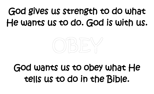# God gives us strength to do what He wants us to do. God is with us.



## God wants us to obey what He tells us to do in the Bible.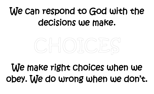# We can respond to God with the decisions we make.



## We make right choices when we obey. We do wrong when we don't.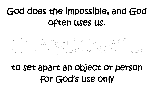# God does the impossible, and God often uses us.



#### to set apart an object or person for God's use only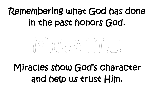# Remembering what God has done in the past honors God.



# Miracles show God's character and help us trust Him.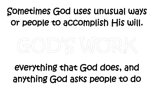# Sometimes God uses unusual ways or people to accomplish His will.



# everything that God does, and anything God asks people to do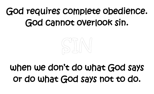# God requires complete obedience. God cannot overlook sin.



## when we don't do what God says or do what God says not to do.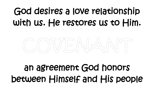# God desires a love relationship with us. He restores us to Him.



# an agreement God honors between Himself and His people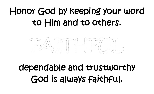# Honor God by keeping your word to Him and to others.



# dependable and trustworthy God is always faithful.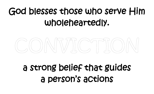# God blesses those who serve Him wholeheartedly.



#### a strong belief that guides a person's actions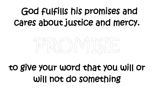# God fulfills his promises and cares about justice and mercy.



#### to give your word that you will or will not do something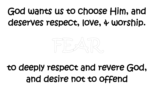# God wants us to choose Him, and deserves respect, love, & worship.



#### to deeply respect and revere God, and desire not to offend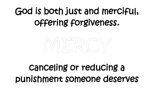# God is both just and merciful, offering forgiveness.



## canceling or reducing a punishment someone deserves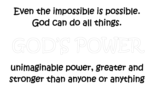# Even the impossible is possible. God can do all things.



## unimaginable power, greater and stronger than anyone or anything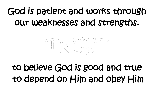# God is patient and works through our weaknesses and strengths.



## to believe God is good and true to depend on Him and obey Him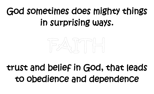# God sometimes does mighty things in surprising ways.



#### trust and belief in God, that leads to obedience and dependence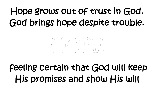# Hope grows out of trust in God. God brings hope despite trouble.



## feeling certain that God will keep His promises and show His will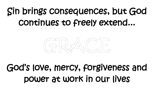# Sin brings consequences, but God continues to freely extend...



## God's love, mercy, forgiveness and power at work in our lives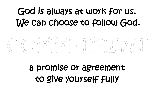# God is always at work for us. We can choose to follow God.

# IMMJTMWJBNT

#### a promise or agreement to give yourself fully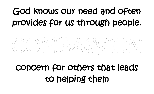# God knows our need and often provides for us through people.



#### concern for others that leads to helping them